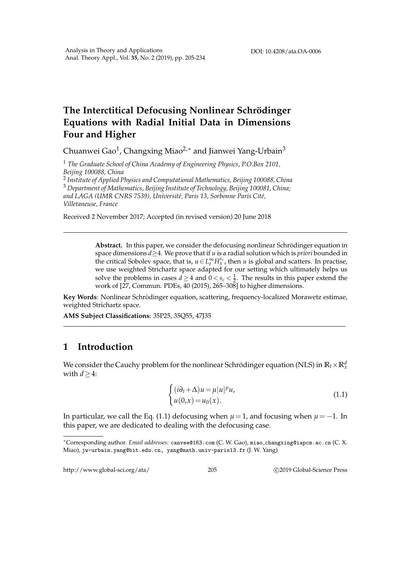## **The Interctitical Defocusing Nonlinear Schrödinger Equations with Radial Initial Data in Dimensions Four and Higher**

Chuanwei Gao $^1$ , Changxing Miao $^{2,*}$  and Jianwei Yang-Urbain $^3$ 

<sup>1</sup> *The Graduate School of China Academy of Engineering Physics, P.O.Box 2101, Beijing 100088, China*

2 *Institute of Applied Physics and Computational Mathematics, Beijing 100088, China* <sup>3</sup> *Department of Mathematics, Beijing Institute of Technology, Beijing 100081, China; and LAGA (UMR CNRS 7539), Universit´e, Paris 13, Sorbonne Paris Cit´e, Villetaneuse, France*

Received 2 November 2017; Accepted (in revised version) 20 June 2018

**Abstract.** In this paper, we consider the defocusing nonlinear Schrödinger equation in space dimensions *d*≥4. We prove that if *u* is a radial solution which is *priori* bounded in the critical Sobolev space, that is,  $u \in L_t^{\infty} H_x^{s_c}$ , then *u* is global and scatters. In practise, we use weighted Strichartz space adapted for our setting which ultimately helps us solve the problems in cases *d*  $\geq$  4 and  $0 < s_c < \frac{1}{2}$ . The results in this paper extend the work of  $[27,$  Commun. PDEs, 40 (2015), 265–308 to higher dimensions.

Key Words: Nonlinear Schrödinger equation, scattering, frequency-localized Morawetz estimae, weighted Strichartz space.

**AMS Subject Classifications**: 35P25, 35Q55, 47J35

## **1 Introduction**

We consider the Cauchy problem for the nonlinear Schrödinger equation (NLS) in  $\mathbb{R}_t\times\mathbb{R}^d_\chi$ with *d*≥4:

$$
\begin{cases}\n(i\partial_t + \Delta)u = \mu |u|^p u, \\
u(0, x) = u_0(x).\n\end{cases}
$$
\n(1.1)

In particular, we call the Eq. (1.1) defocusing when  $\mu = 1$ , and focusing when  $\mu = -1$ . In this paper, we are dedicated to dealing with the defocusing case.

http://www.global-sci.org/ata/ 205 c 2019 Global-Science Press

<sup>∗</sup>Corresponding author. *Email addresses:* canvee@163.com (C. W. Gao), miao changxing@iapcm.ac.cn (C. X. Miao), jw-urbain.yang@bit.edu.cn, yang@math.univ-paris13.fr (J. W. Yang)